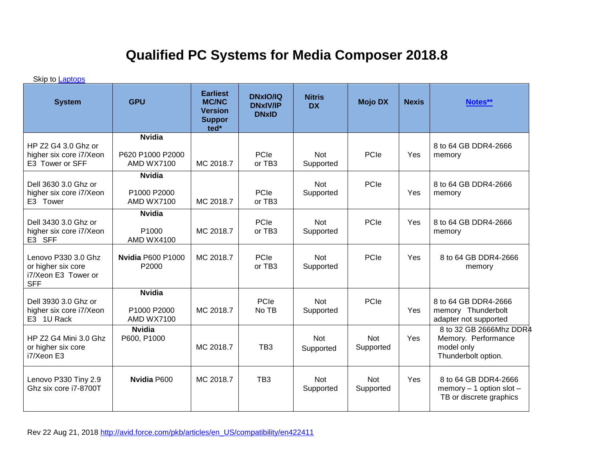## **Qualified PC Systems for Media Composer 2018.8**

Skip to **Laptops** 

| <b>System</b>                                                                  | <b>GPU</b>                                             | <b>Earliest</b><br><b>MC/NC</b><br><b>Version</b><br><b>Suppor</b><br>ted* | <b>DNxIO/IQ</b><br><b>DNxIV/IP</b><br><b>DNxID</b> | <b>Nitris</b><br><b>DX</b> | <b>Mojo DX</b>          | <b>Nexis</b> | Notes**                                                                             |
|--------------------------------------------------------------------------------|--------------------------------------------------------|----------------------------------------------------------------------------|----------------------------------------------------|----------------------------|-------------------------|--------------|-------------------------------------------------------------------------------------|
| HP Z2 G4 3.0 Ghz or<br>higher six core i7/Xeon<br>E3 Tower or SFF              | <b>Nvidia</b><br>P620 P1000 P2000<br><b>AMD WX7100</b> | MC 2018.7                                                                  | PCIe<br>or TB3                                     | <b>Not</b><br>Supported    | PCIe                    | Yes          | 8 to 64 GB DDR4-2666<br>memory                                                      |
| Dell 3630 3.0 Ghz or<br>higher six core i7/Xeon<br>E3 Tower                    | <b>Nvidia</b><br>P1000 P2000<br><b>AMD WX7100</b>      | MC 2018.7                                                                  | PCIe<br>or TB3                                     | <b>Not</b><br>Supported    | PCIe                    | Yes          | 8 to 64 GB DDR4-2666<br>memory                                                      |
| Dell 3430 3.0 Ghz or<br>higher six core i7/Xeon<br>E3 SFF                      | <b>Nvidia</b><br>P1000<br><b>AMD WX4100</b>            | MC 2018.7                                                                  | PCIe<br>or TB3                                     | <b>Not</b><br>Supported    | PCIe                    | Yes          | 8 to 64 GB DDR4-2666<br>memory                                                      |
| Lenovo P330 3.0 Ghz<br>or higher six core<br>i7/Xeon E3 Tower or<br><b>SFF</b> | <b>Nvidia P600 P1000</b><br>P2000                      | MC 2018.7                                                                  | PCIe<br>or TB3                                     | <b>Not</b><br>Supported    | PCIe                    | Yes          | 8 to 64 GB DDR4-2666<br>memory                                                      |
| Dell 3930 3.0 Ghz or<br>higher six core i7/Xeon<br>E3 1U Rack                  | <b>Nvidia</b><br>P1000 P2000<br><b>AMD WX7100</b>      | MC 2018.7                                                                  | PCIe<br>No TB                                      | <b>Not</b><br>Supported    | PCIe                    | Yes          | 8 to 64 GB DDR4-2666<br>memory Thunderbolt<br>adapter not supported                 |
| HP Z2 G4 Mini 3.0 Ghz<br>or higher six core<br>i7/Xeon E3                      | <b>Nvidia</b><br>P600, P1000                           | MC 2018.7                                                                  | TB <sub>3</sub>                                    | <b>Not</b><br>Supported    | <b>Not</b><br>Supported | Yes          | 8 to 32 GB 2666Mhz DDR4<br>Memory. Performance<br>model only<br>Thunderbolt option. |
| Lenovo P330 Tiny 2.9<br>Ghz six core i7-8700T                                  | <b>Nvidia P600</b>                                     | MC 2018.7                                                                  | TB <sub>3</sub>                                    | <b>Not</b><br>Supported    | <b>Not</b><br>Supported | Yes          | 8 to 64 GB DDR4-2666<br>memory $-1$ option slot $-$<br>TB or discrete graphics      |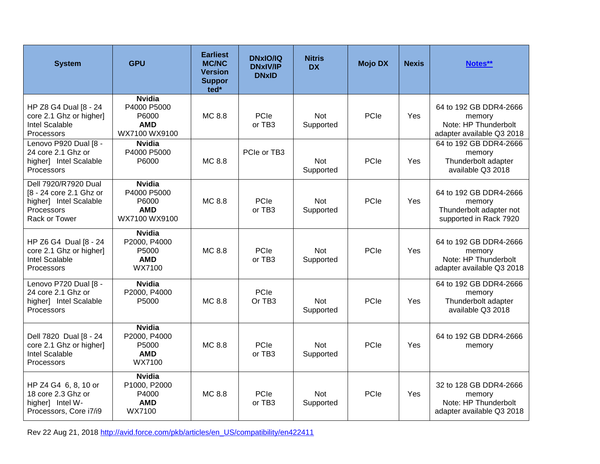| <b>System</b>                                                                                            | <b>GPU</b>                                                           | <b>Earliest</b><br><b>MC/NC</b><br><b>Version</b><br><b>Suppor</b><br>ted* | <b>DNxIO/IQ</b><br><b>DNxIV/IP</b><br><b>DNxID</b> | <b>Nitris</b><br><b>DX</b> | <b>Mojo DX</b> | <b>Nexis</b> | Notes**                                                                               |
|----------------------------------------------------------------------------------------------------------|----------------------------------------------------------------------|----------------------------------------------------------------------------|----------------------------------------------------|----------------------------|----------------|--------------|---------------------------------------------------------------------------------------|
| HP Z8 G4 Dual [8 - 24<br>core 2.1 Ghz or higher]<br>Intel Scalable<br>Processors                         | <b>Nvidia</b><br>P4000 P5000<br>P6000<br><b>AMD</b><br>WX7100 WX9100 | MC 8.8                                                                     | PCIe<br>or TB3                                     | <b>Not</b><br>Supported    | PCIe           | <b>Yes</b>   | 64 to 192 GB DDR4-2666<br>memory<br>Note: HP Thunderbolt<br>adapter available Q3 2018 |
| Lenovo P920 Dual [8 -<br>24 core 2.1 Ghz or<br>higher] Intel Scalable<br>Processors                      | <b>Nvidia</b><br>P4000 P5000<br>P6000                                | MC 8.8                                                                     | PCIe or TB3                                        | <b>Not</b><br>Supported    | PCIe           | Yes          | 64 to 192 GB DDR4-2666<br>memory<br>Thunderbolt adapter<br>available Q3 2018          |
| Dell 7920/R7920 Dual<br>[8 - 24 core 2.1 Ghz or<br>higher] Intel Scalable<br>Processors<br>Rack or Tower | <b>Nvidia</b><br>P4000 P5000<br>P6000<br><b>AMD</b><br>WX7100 WX9100 | MC 8.8                                                                     | PCle<br>or $TB3$                                   | <b>Not</b><br>Supported    | PCIe           | Yes          | 64 to 192 GB DDR4-2666<br>memory<br>Thunderbolt adapter not<br>supported in Rack 7920 |
| HP Z6 G4 Dual [8 - 24<br>core 2.1 Ghz or higher]<br>Intel Scalable<br>Processors                         | <b>Nvidia</b><br>P2000, P4000<br>P5000<br><b>AMD</b><br>WX7100       | MC 8.8                                                                     | PCle<br>or TB3                                     | <b>Not</b><br>Supported    | PCIe           | Yes          | 64 to 192 GB DDR4-2666<br>memory<br>Note: HP Thunderbolt<br>adapter available Q3 2018 |
| Lenovo P720 Dual [8 -<br>24 core 2.1 Ghz or<br>higher] Intel Scalable<br>Processors                      | <b>Nvidia</b><br>P2000, P4000<br>P5000                               | MC 8.8                                                                     | PCle<br>Or TB <sub>3</sub>                         | <b>Not</b><br>Supported    | PCIe           | Yes          | 64 to 192 GB DDR4-2666<br>memory<br>Thunderbolt adapter<br>available Q3 2018          |
| Dell 7820 Dual [8 - 24<br>core 2.1 Ghz or higher]<br>Intel Scalable<br>Processors                        | <b>Nvidia</b><br>P2000, P4000<br>P5000<br><b>AMD</b><br>WX7100       | MC 8.8                                                                     | PCIe<br>or TB3                                     | <b>Not</b><br>Supported    | PCIe           | Yes          | 64 to 192 GB DDR4-2666<br>memory                                                      |
| HP Z4 G4 6, 8, 10 or<br>18 core 2.3 Ghz or<br>higher] Intel W-<br>Processors, Core i7/i9                 | <b>Nvidia</b><br>P1000, P2000<br>P4000<br><b>AMD</b><br>WX7100       | MC 8.8                                                                     | PCIe<br>or TB3                                     | <b>Not</b><br>Supported    | PCIe           | Yes          | 32 to 128 GB DDR4-2666<br>memory<br>Note: HP Thunderbolt<br>adapter available Q3 2018 |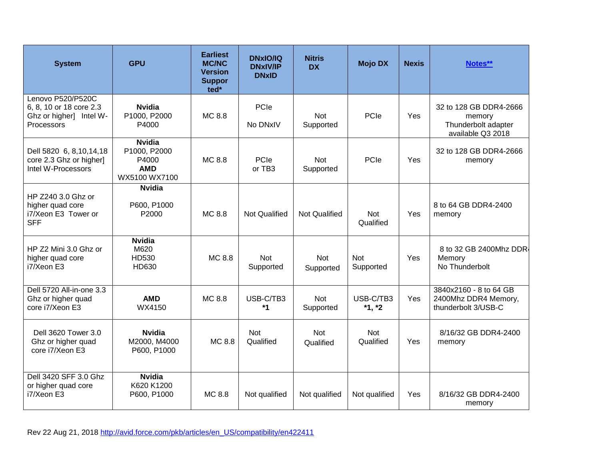| <b>System</b>                                                                         | <b>GPU</b>                                                            | <b>Earliest</b><br><b>MC/NC</b><br><b>Version</b><br><b>Suppor</b><br>ted <sup>*</sup> | <b>DNxIO/IQ</b><br><b>DNxIV/IP</b><br><b>DNxID</b> | <b>Nitris</b><br><b>DX</b> | <b>Mojo DX</b>          | <b>Nexis</b> | Notes**                                                                      |
|---------------------------------------------------------------------------------------|-----------------------------------------------------------------------|----------------------------------------------------------------------------------------|----------------------------------------------------|----------------------------|-------------------------|--------------|------------------------------------------------------------------------------|
| Lenovo P520/P520C<br>6, 8, 10 or 18 core 2.3<br>Ghz or higher] Intel W-<br>Processors | <b>Nvidia</b><br>P1000, P2000<br>P4000                                | MC 8.8                                                                                 | PCIe<br>No DNxIV                                   | Not<br>Supported           | PCIe                    | Yes          | 32 to 128 GB DDR4-2666<br>memory<br>Thunderbolt adapter<br>available Q3 2018 |
| Dell 5820 6, 8, 10, 14, 18<br>core 2.3 Ghz or higher]<br>Intel W-Processors           | <b>Nvidia</b><br>P1000, P2000<br>P4000<br><b>AMD</b><br>WX5100 WX7100 | MC 8.8                                                                                 | PCIe<br>or TB3                                     | <b>Not</b><br>Supported    | PCIe                    | Yes          | 32 to 128 GB DDR4-2666<br>memory                                             |
| HP Z240 3.0 Ghz or<br>higher quad core<br>i7/Xeon E3 Tower or<br><b>SFF</b>           | <b>Nvidia</b><br>P600, P1000<br>P2000                                 | MC 8.8                                                                                 | <b>Not Qualified</b>                               | Not Qualified              | Not<br>Qualified        | Yes          | 8 to 64 GB DDR4-2400<br>memory                                               |
| HP Z2 Mini 3.0 Ghz or<br>higher quad core<br>i7/Xeon E3                               | <b>Nvidia</b><br>M620<br>HD530<br>HD630                               | MC 8.8                                                                                 | <b>Not</b><br>Supported                            | Not<br>Supported           | <b>Not</b><br>Supported | Yes          | 8 to 32 GB 2400Mhz DDR4<br>Memory<br>No Thunderbolt                          |
| Dell 5720 All-in-one 3.3<br>Ghz or higher quad<br>core i7/Xeon E3                     | <b>AMD</b><br>WX4150                                                  | MC 8.8                                                                                 | USB-C/TB3<br>*1                                    | Not<br>Supported           | USB-C/TB3<br>$*1, *2$   | Yes          | 3840x2160 - 8 to 64 GB<br>2400Mhz DDR4 Memory,<br>thunderbolt 3/USB-C        |
| Dell 3620 Tower 3.0<br>Ghz or higher quad<br>core i7/Xeon E3                          | <b>Nvidia</b><br>M2000, M4000<br>P600, P1000                          | MC 8.8                                                                                 | <b>Not</b><br>Qualified                            | <b>Not</b><br>Qualified    | Not<br>Qualified        | Yes          | 8/16/32 GB DDR4-2400<br>memory                                               |
| Dell 3420 SFF 3.0 Ghz<br>or higher quad core<br>i7/Xeon E3                            | <b>Nvidia</b><br>K620 K1200<br>P600, P1000                            | MC 8.8                                                                                 | Not qualified                                      | Not qualified              | Not qualified           | Yes          | 8/16/32 GB DDR4-2400<br>memory                                               |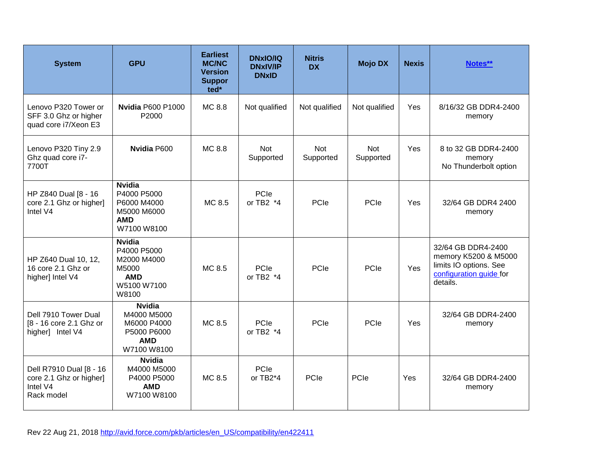| <b>System</b>                                                                | <b>GPU</b>                                                                                 | <b>Earliest</b><br><b>MC/NC</b><br><b>Version</b><br><b>Suppor</b><br>ted* | <b>DNxIO/IQ</b><br><b>DNxIV/IP</b><br><b>DNxID</b> | <b>Nitris</b><br><b>DX</b> | <b>Mojo DX</b>   | <b>Nexis</b> | Notes**                                                                                                     |
|------------------------------------------------------------------------------|--------------------------------------------------------------------------------------------|----------------------------------------------------------------------------|----------------------------------------------------|----------------------------|------------------|--------------|-------------------------------------------------------------------------------------------------------------|
| Lenovo P320 Tower or<br>SFF 3.0 Ghz or higher<br>quad core i7/Xeon E3        | <b>Nvidia P600 P1000</b><br>P2000                                                          | MC 8.8                                                                     | Not qualified                                      | Not qualified              | Not qualified    | Yes          | 8/16/32 GB DDR4-2400<br>memory                                                                              |
| Lenovo P320 Tiny 2.9<br>Ghz quad core i7-<br>7700T                           | Nvidia P600                                                                                | MC 8.8                                                                     | Not<br>Supported                                   | <b>Not</b><br>Supported    | Not<br>Supported | Yes          | 8 to 32 GB DDR4-2400<br>memory<br>No Thunderbolt option                                                     |
| HP Z840 Dual [8 - 16<br>core 2.1 Ghz or higher]<br>Intel V4                  | <b>Nvidia</b><br>P4000 P5000<br>P6000 M4000<br>M5000 M6000<br><b>AMD</b><br>W7100 W8100    | MC 8.5                                                                     | PCIe<br>or TB2 $*4$                                | PCIe                       | PCIe             | Yes          | 32/64 GB DDR4 2400<br>memory                                                                                |
| HP Z640 Dual 10, 12,<br>16 core 2.1 Ghz or<br>higher] Intel V4               | <b>Nvidia</b><br>P4000 P5000<br>M2000 M4000<br>M5000<br><b>AMD</b><br>W5100 W7100<br>W8100 | MC 8.5                                                                     | PCIe<br>or TB2 *4                                  | PCIe                       | PCIe             | Yes          | 32/64 GB DDR4-2400<br>memory K5200 & M5000<br>limits IO options. See<br>configuration guide for<br>details. |
| Dell 7910 Tower Dual<br>[8 - 16 core 2.1 Ghz or<br>higher] Intel V4          | <b>Nvidia</b><br>M4000 M5000<br>M6000 P4000<br>P5000 P6000<br><b>AMD</b><br>W7100 W8100    | MC 8.5                                                                     | PCIe<br>or TB2 *4                                  | PCIe                       | PCIe             | Yes          | 32/64 GB DDR4-2400<br>memory                                                                                |
| Dell R7910 Dual [8 - 16<br>core 2.1 Ghz or higher]<br>Intel V4<br>Rack model | <b>Nvidia</b><br>M4000 M5000<br>P4000 P5000<br><b>AMD</b><br>W7100 W8100                   | MC 8.5                                                                     | PCIe<br>or TB2*4                                   | PCIe                       | PCIe             | Yes          | 32/64 GB DDR4-2400<br>memory                                                                                |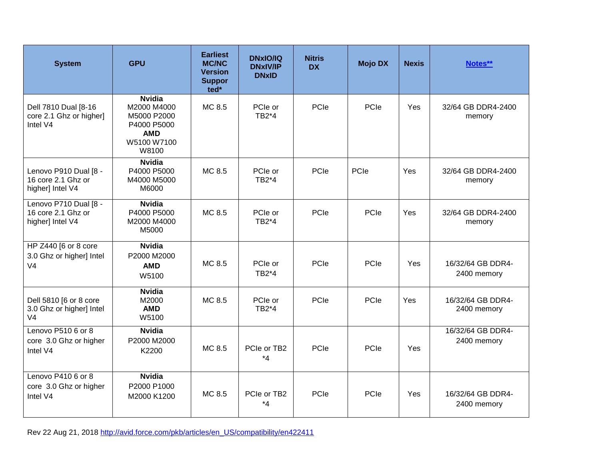| <b>System</b>                                                        | <b>GPU</b>                                                                                       | <b>Earliest</b><br><b>MC/NC</b><br><b>Version</b><br><b>Suppor</b><br>ted* | <b>DNxIO/IQ</b><br><b>DNxIV/IP</b><br><b>DNxID</b> | <b>Nitris</b><br><b>DX</b> | <b>Mojo DX</b> | <b>Nexis</b> | Notes**                          |
|----------------------------------------------------------------------|--------------------------------------------------------------------------------------------------|----------------------------------------------------------------------------|----------------------------------------------------|----------------------------|----------------|--------------|----------------------------------|
| Dell 7810 Dual [8-16<br>core 2.1 Ghz or higher]<br>Intel V4          | <b>Nvidia</b><br>M2000 M4000<br>M5000 P2000<br>P4000 P5000<br><b>AMD</b><br>W5100 W7100<br>W8100 | MC 8.5                                                                     | PCIe or<br>TB2*4                                   | PCle                       | PCIe           | <b>Yes</b>   | 32/64 GB DDR4-2400<br>memory     |
| Lenovo P910 Dual [8 -<br>16 core 2.1 Ghz or<br>higher] Intel V4      | <b>Nvidia</b><br>P4000 P5000<br>M4000 M5000<br>M6000                                             | MC 8.5                                                                     | PCIe or<br>TB2*4                                   | PCIe                       | PCIe           | Yes          | 32/64 GB DDR4-2400<br>memory     |
| Lenovo P710 Dual [8 -<br>16 core 2.1 Ghz or<br>higher] Intel V4      | <b>Nvidia</b><br>P4000 P5000<br>M2000 M4000<br>M5000                                             | MC 8.5                                                                     | PCIe or<br>TB2*4                                   | PCle                       | PCIe           | Yes          | 32/64 GB DDR4-2400<br>memory     |
| HP Z440 [6 or 8 core<br>3.0 Ghz or higher] Intel<br>V <sub>4</sub>   | <b>Nvidia</b><br>P2000 M2000<br><b>AMD</b><br>W5100                                              | MC 8.5                                                                     | PCle or<br>TB2*4                                   | PCle                       | PCIe           | Yes          | 16/32/64 GB DDR4-<br>2400 memory |
| Dell 5810 [6 or 8 core<br>3.0 Ghz or higher] Intel<br>V <sub>4</sub> | <b>Nvidia</b><br>M2000<br><b>AMD</b><br>W5100                                                    | MC 8.5                                                                     | PCIe or<br>TB2*4                                   | PCIe                       | PCIe           | Yes          | 16/32/64 GB DDR4-<br>2400 memory |
| Lenovo P510 6 or 8<br>core 3.0 Ghz or higher<br>Intel V4             | <b>Nvidia</b><br>P2000 M2000<br>K2200                                                            | MC 8.5                                                                     | PCIe or TB2<br>$*_{4}$                             | PCle                       | PCIe           | Yes          | 16/32/64 GB DDR4-<br>2400 memory |
| Lenovo P410 6 or 8<br>core 3.0 Ghz or higher<br>Intel V4             | <b>Nvidia</b><br>P2000 P1000<br>M2000 K1200                                                      | MC 8.5                                                                     | PCIe or TB2<br>$*_{4}$                             | PCIe                       | PCIe           | Yes          | 16/32/64 GB DDR4-<br>2400 memory |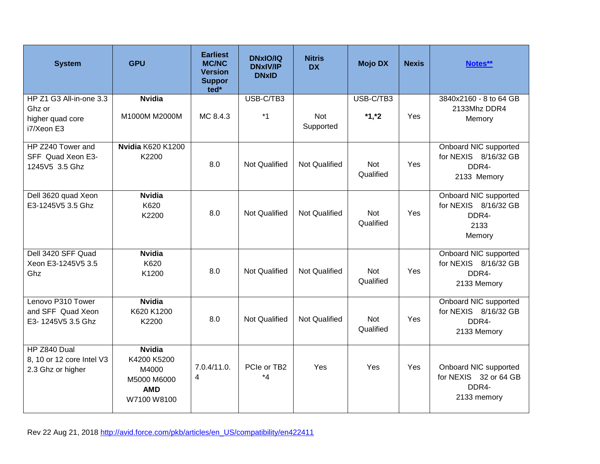| <b>System</b>                                                       | <b>GPU</b>                                                                        | <b>Earliest</b><br><b>MC/NC</b><br><b>Version</b><br><b>Suppor</b><br>ted* | <b>DNxIO/IQ</b><br><b>DNxIV/IP</b><br><b>DNxID</b> | <b>Nitris</b><br><b>DX</b> | <b>Mojo DX</b>          | <b>Nexis</b> | Notes**                                                                  |
|---------------------------------------------------------------------|-----------------------------------------------------------------------------------|----------------------------------------------------------------------------|----------------------------------------------------|----------------------------|-------------------------|--------------|--------------------------------------------------------------------------|
| HP Z1 G3 All-in-one 3.3<br>Ghz or<br>higher quad core<br>i7/Xeon E3 | <b>Nvidia</b><br>M1000M M2000M                                                    | MC 8.4.3                                                                   | USB-C/TB3<br>$*1$                                  | <b>Not</b><br>Supported    | USB-C/TB3<br>$*1,*2$    | Yes          | 3840x2160 - 8 to 64 GB<br>2133Mhz DDR4<br>Memory                         |
| HP Z240 Tower and<br>SFF Quad Xeon E3-<br>1245V5 3.5 Ghz            | <b>Nvidia K620 K1200</b><br>K2200                                                 | 8.0                                                                        | <b>Not Qualified</b>                               | <b>Not Qualified</b>       | <b>Not</b><br>Qualified | Yes          | Onboard NIC supported<br>for NEXIS 8/16/32 GB<br>DDR4-<br>2133 Memory    |
| Dell 3620 quad Xeon<br>E3-1245V5 3.5 Ghz                            | <b>Nvidia</b><br>K620<br>K2200                                                    | 8.0                                                                        | <b>Not Qualified</b>                               | <b>Not Qualified</b>       | Not<br>Qualified        | Yes          | Onboard NIC supported<br>for NEXIS 8/16/32 GB<br>DDR4-<br>2133<br>Memory |
| Dell 3420 SFF Quad<br>Xeon E3-1245V5 3.5<br>Ghz                     | <b>Nvidia</b><br>K620<br>K1200                                                    | 8.0                                                                        | <b>Not Qualified</b>                               | <b>Not Qualified</b>       | Not<br>Qualified        | Yes          | Onboard NIC supported<br>for NEXIS 8/16/32 GB<br>DDR4-<br>2133 Memory    |
| Lenovo P310 Tower<br>and SFF Quad Xeon<br>E3-1245V5 3.5 Ghz         | <b>Nvidia</b><br>K620 K1200<br>K2200                                              | 8.0                                                                        | Not Qualified                                      | <b>Not Qualified</b>       | <b>Not</b><br>Qualified | Yes          | Onboard NIC supported<br>for NEXIS 8/16/32 GB<br>DDR4-<br>2133 Memory    |
| HP Z840 Dual<br>8, 10 or 12 core Intel V3<br>2.3 Ghz or higher      | <b>Nvidia</b><br>K4200 K5200<br>M4000<br>M5000 M6000<br><b>AMD</b><br>W7100 W8100 | 7.0.4/11.0.<br>4                                                           | PCIe or TB2<br>*4                                  | Yes                        | Yes                     | Yes          | Onboard NIC supported<br>for NEXIS 32 or 64 GB<br>DDR4-<br>2133 memory   |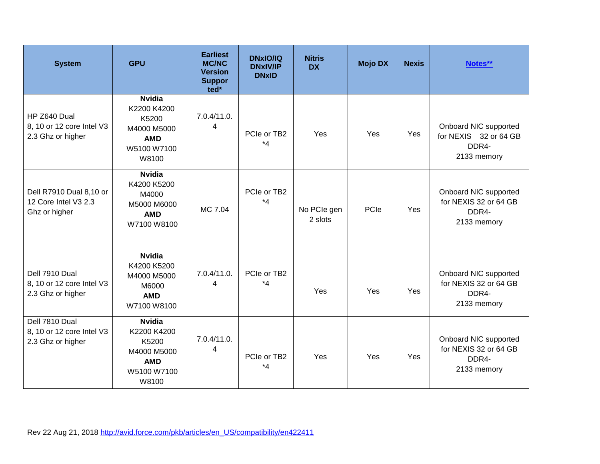| <b>System</b>                                                    | <b>GPU</b>                                                                                 | <b>Earliest</b><br><b>MC/NC</b><br><b>Version</b><br><b>Suppor</b><br>ted* | <b>DNxIO/IQ</b><br><b>DNxIV/IP</b><br><b>DNxID</b> | <b>Nitris</b><br><b>DX</b> | <b>Mojo DX</b> | <b>Nexis</b> | Notes**                                                                |
|------------------------------------------------------------------|--------------------------------------------------------------------------------------------|----------------------------------------------------------------------------|----------------------------------------------------|----------------------------|----------------|--------------|------------------------------------------------------------------------|
| HP Z640 Dual<br>8, 10 or 12 core Intel V3<br>2.3 Ghz or higher   | <b>Nvidia</b><br>K2200 K4200<br>K5200<br>M4000 M5000<br><b>AMD</b><br>W5100 W7100<br>W8100 | 7.0.4/11.0.<br>4                                                           | PCIe or TB2<br>*4                                  | Yes                        | Yes            | Yes          | Onboard NIC supported<br>for NEXIS 32 or 64 GB<br>DDR4-<br>2133 memory |
| Dell R7910 Dual 8,10 or<br>12 Core Intel V3 2.3<br>Ghz or higher | <b>Nvidia</b><br>K4200 K5200<br>M4000<br>M5000 M6000<br><b>AMD</b><br>W7100 W8100          | MC 7.04                                                                    | PCIe or TB2<br>$*_{4}$                             | No PCIe gen<br>2 slots     | PCIe           | Yes          | Onboard NIC supported<br>for NEXIS 32 or 64 GB<br>DDR4-<br>2133 memory |
| Dell 7910 Dual<br>8, 10 or 12 core Intel V3<br>2.3 Ghz or higher | <b>Nvidia</b><br>K4200 K5200<br>M4000 M5000<br>M6000<br><b>AMD</b><br>W7100 W8100          | 7.0.4/11.0.<br>4                                                           | PCIe or TB2<br>$*_{4}$                             | Yes                        | Yes            | Yes          | Onboard NIC supported<br>for NEXIS 32 or 64 GB<br>DDR4-<br>2133 memory |
| Dell 7810 Dual<br>8, 10 or 12 core Intel V3<br>2.3 Ghz or higher | <b>Nvidia</b><br>K2200 K4200<br>K5200<br>M4000 M5000<br><b>AMD</b><br>W5100 W7100<br>W8100 | 7.0.4/11.0.<br>4                                                           | PCIe or TB2<br>$*_{4}$                             | Yes                        | Yes            | Yes          | Onboard NIC supported<br>for NEXIS 32 or 64 GB<br>DDR4-<br>2133 memory |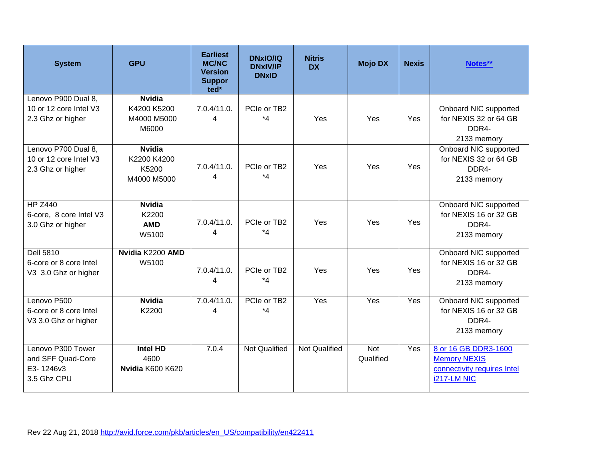| <b>System</b>                                                      | <b>GPU</b>                                           | <b>Earliest</b><br><b>MC/NC</b><br><b>Version</b><br><b>Suppor</b><br>ted* | <b>DNxIO/IQ</b><br><b>DNxIV/IP</b><br><b>DNxID</b> | <b>Nitris</b><br><b>DX</b> | <b>Mojo DX</b>          | <b>Nexis</b> | Notes**                                                                                   |
|--------------------------------------------------------------------|------------------------------------------------------|----------------------------------------------------------------------------|----------------------------------------------------|----------------------------|-------------------------|--------------|-------------------------------------------------------------------------------------------|
| Lenovo P900 Dual 8,<br>10 or 12 core Intel V3<br>2.3 Ghz or higher | <b>Nvidia</b><br>K4200 K5200<br>M4000 M5000<br>M6000 | 7.0.4/11.0.<br>4                                                           | PCIe or TB2<br>$*_{4}$                             | Yes                        | Yes                     | Yes          | Onboard NIC supported<br>for NEXIS 32 or 64 GB<br>DDR4-<br>2133 memory                    |
| Lenovo P700 Dual 8,<br>10 or 12 core Intel V3<br>2.3 Ghz or higher | <b>Nvidia</b><br>K2200 K4200<br>K5200<br>M4000 M5000 | 7.0.4/11.0.<br>4                                                           | PCIe or TB2<br>*4                                  | Yes                        | Yes                     | Yes          | Onboard NIC supported<br>for NEXIS 32 or 64 GB<br>DDR4-<br>2133 memory                    |
| <b>HP Z440</b><br>6-core, 8 core Intel V3<br>3.0 Ghz or higher     | <b>Nvidia</b><br>K2200<br><b>AMD</b><br>W5100        | 7.0.4/11.0.<br>4                                                           | PCIe or TB2<br>*4                                  | Yes                        | Yes                     | Yes          | Onboard NIC supported<br>for NEXIS 16 or 32 GB<br>DDR4-<br>2133 memory                    |
| <b>Dell 5810</b><br>6-core or 8 core Intel<br>V3 3.0 Ghz or higher | Nvidia K2200 AMD<br>W5100                            | 7.0.4/11.0.<br>4                                                           | PCIe or TB2<br>$*_{4}$                             | Yes                        | Yes                     | Yes          | Onboard NIC supported<br>for NEXIS 16 or 32 GB<br>DDR4-<br>2133 memory                    |
| Lenovo P500<br>6-core or 8 core Intel<br>V3 3.0 Ghz or higher      | <b>Nvidia</b><br>K2200                               | 7.0.4/11.0.<br>4                                                           | PCIe or TB2<br>$*_{4}$                             | Yes                        | Yes                     | Yes          | Onboard NIC supported<br>for NEXIS 16 or 32 GB<br>DDR4-<br>2133 memory                    |
| Lenovo P300 Tower<br>and SFF Quad-Core<br>E3-1246v3<br>3.5 Ghz CPU | <b>Intel HD</b><br>4600<br>Nvidia K600 K620          | 7.0.4                                                                      | <b>Not Qualified</b>                               | <b>Not Qualified</b>       | <b>Not</b><br>Qualified | Yes          | 8 or 16 GB DDR3-1600<br><b>Memory NEXIS</b><br>connectivity requires Intel<br>i217-LM NIC |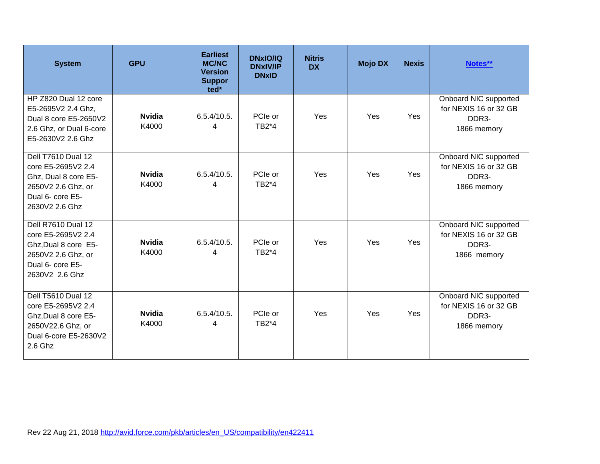| <b>System</b>                                                                                                                    | <b>GPU</b>             | <b>Earliest</b><br><b>MC/NC</b><br><b>Version</b><br><b>Suppor</b><br>ted* | <b>DNxIO/IQ</b><br><b>DNxIV/IP</b><br><b>DNxID</b> | <b>Nitris</b><br><b>DX</b> | <b>Mojo DX</b> | <b>Nexis</b> | Notes**                                                                             |
|----------------------------------------------------------------------------------------------------------------------------------|------------------------|----------------------------------------------------------------------------|----------------------------------------------------|----------------------------|----------------|--------------|-------------------------------------------------------------------------------------|
| HP Z820 Dual 12 core<br>E5-2695V2 2.4 Ghz,<br>Dual 8 core E5-2650V2<br>2.6 Ghz, or Dual 6-core<br>E5-2630V2 2.6 Ghz              | <b>Nvidia</b><br>K4000 | 6.5.4/10.5.<br>4                                                           | PCIe or<br>TB2*4                                   | Yes                        | Yes            | Yes          | Onboard NIC supported<br>for NEXIS 16 or 32 GB<br>DDR <sub>3</sub> -<br>1866 memory |
| Dell T7610 Dual 12<br>core E5-2695V2 2.4<br>Ghz, Dual 8 core E5-<br>2650V2 2.6 Ghz, or<br>Dual 6- core E5-<br>2630V2 2.6 Ghz     | <b>Nvidia</b><br>K4000 | 6.5.4/10.5.<br>4                                                           | PCIe or<br>TB2*4                                   | Yes                        | Yes            | Yes          | Onboard NIC supported<br>for NEXIS 16 or 32 GB<br>DDR <sub>3</sub> -<br>1866 memory |
| Dell R7610 Dual 12<br>core E5-2695V2 2.4<br>Ghz, Dual 8 core E5-<br>2650V2 2.6 Ghz, or<br>Dual 6- core E5-<br>2630V2 2.6 Ghz     | <b>Nvidia</b><br>K4000 | 6.5.4/10.5.<br>4                                                           | PCIe or<br>TB2*4                                   | Yes                        | Yes            | Yes          | Onboard NIC supported<br>for NEXIS 16 or 32 GB<br>DDR3-<br>1866 memory              |
| <b>Dell T5610 Dual 12</b><br>core E5-2695V2 2.4<br>Ghz, Dual 8 core E5-<br>2650V22.6 Ghz, or<br>Dual 6-core E5-2630V2<br>2.6 Ghz | <b>Nvidia</b><br>K4000 | 6.5.4/10.5.<br>4                                                           | PCIe or<br>TB2*4                                   | Yes                        | Yes            | <b>Yes</b>   | Onboard NIC supported<br>for NEXIS 16 or 32 GB<br>DDR <sub>3</sub> -<br>1866 memory |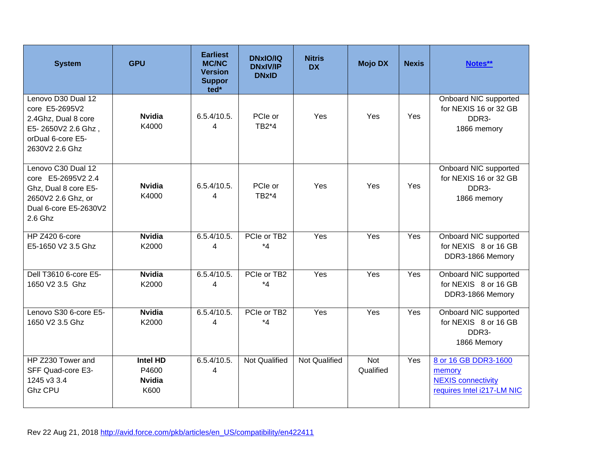| <b>System</b>                                                                                                              | <b>GPU</b>                                        | <b>Earliest</b><br><b>MC/NC</b><br><b>Version</b><br><b>Suppor</b><br>ted* | <b>DNxIO/IQ</b><br><b>DNxIV/IP</b><br><b>DNxID</b> | <b>Nitris</b><br><b>DX</b> | <b>Mojo DX</b>          | <b>Nexis</b> | Notes**                                                                                   |
|----------------------------------------------------------------------------------------------------------------------------|---------------------------------------------------|----------------------------------------------------------------------------|----------------------------------------------------|----------------------------|-------------------------|--------------|-------------------------------------------------------------------------------------------|
| Lenovo D30 Dual 12<br>core E5-2695V2<br>2.4Ghz, Dual 8 core<br>E5-2650V2 2.6 Ghz,<br>orDual 6-core E5-<br>2630V2 2.6 Ghz   | <b>Nvidia</b><br>K4000                            | 6.5.4/10.5.<br>4                                                           | PCIe or<br>TB2*4                                   | Yes                        | Yes                     | Yes          | Onboard NIC supported<br>for NEXIS 16 or 32 GB<br>DDR <sub>3</sub> -<br>1866 memory       |
| Lenovo C30 Dual 12<br>core E5-2695V2 2.4<br>Ghz, Dual 8 core E5-<br>2650V2 2.6 Ghz, or<br>Dual 6-core E5-2630V2<br>2.6 Ghz | <b>Nvidia</b><br>K4000                            | 6.5.4/10.5.<br>4                                                           | PCIe or<br>TB2*4                                   | Yes                        | Yes                     | Yes          | Onboard NIC supported<br>for NEXIS 16 or 32 GB<br>DDR3-<br>1866 memory                    |
| <b>HP Z420 6-core</b><br>E5-1650 V2 3.5 Ghz                                                                                | <b>Nvidia</b><br>K2000                            | 6.5.4/10.5.<br>4                                                           | PCIe or TB2<br>$*_{4}$                             | Yes                        | Yes                     | Yes          | Onboard NIC supported<br>for NEXIS 8 or 16 GB<br>DDR3-1866 Memory                         |
| Dell T3610 6-core E5-<br>1650 V2 3.5 Ghz                                                                                   | <b>Nvidia</b><br>K2000                            | 6.5.4/10.5.<br>4                                                           | PCIe or TB2<br>$*_{4}$                             | Yes                        | Yes                     | Yes          | Onboard NIC supported<br>for NEXIS 8 or 16 GB<br>DDR3-1866 Memory                         |
| Lenovo S30 6-core E5-<br>1650 V2 3.5 Ghz                                                                                   | <b>Nvidia</b><br>K2000                            | 6.5.4/10.5.<br>4                                                           | PCIe or TB2<br>$*_{4}$                             | Yes                        | Yes                     | Yes          | Onboard NIC supported<br>for NEXIS 8 or 16 GB<br>DDR <sub>3</sub> -<br>1866 Memory        |
| HP Z230 Tower and<br>SFF Quad-core E3-<br>1245 v3 3.4<br><b>Ghz CPU</b>                                                    | <b>Intel HD</b><br>P4600<br><b>Nvidia</b><br>K600 | 6.5.4/10.5.<br>4                                                           | <b>Not Qualified</b>                               | <b>Not Qualified</b>       | <b>Not</b><br>Qualified | Yes          | 8 or 16 GB DDR3-1600<br>memory<br><b>NEXIS connectivity</b><br>requires Intel i217-LM NIC |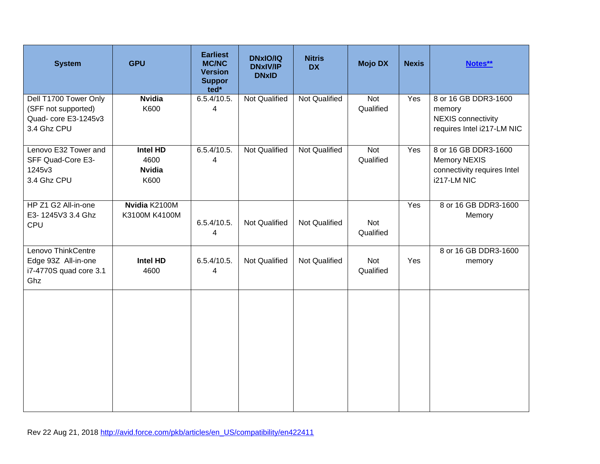| <b>System</b>                                                                       | <b>GPU</b>                                       | <b>Earliest</b><br><b>MC/NC</b><br><b>Version</b><br><b>Suppor</b><br>ted* | <b>DNxIO/IQ</b><br><b>DNxIV/IP</b><br><b>DNxID</b> | <b>Nitris</b><br><b>DX</b> | <b>Mojo DX</b>   | <b>Nexis</b> | Notes**                                                                                   |
|-------------------------------------------------------------------------------------|--------------------------------------------------|----------------------------------------------------------------------------|----------------------------------------------------|----------------------------|------------------|--------------|-------------------------------------------------------------------------------------------|
| Dell T1700 Tower Only<br>(SFF not supported)<br>Quad- core E3-1245v3<br>3.4 Ghz CPU | <b>Nvidia</b><br>K600                            | 6.5.4/10.5.<br>4                                                           | <b>Not Qualified</b>                               | <b>Not Qualified</b>       | Not<br>Qualified | Yes          | 8 or 16 GB DDR3-1600<br>memory<br><b>NEXIS</b> connectivity<br>requires Intel i217-LM NIC |
| Lenovo E32 Tower and<br>SFF Quad-Core E3-<br>1245v3<br>3.4 Ghz CPU                  | <b>Intel HD</b><br>4600<br><b>Nvidia</b><br>K600 | 6.5.4/10.5.<br>$\overline{4}$                                              | <b>Not Qualified</b>                               | <b>Not Qualified</b>       | Not<br>Qualified | Yes          | 8 or 16 GB DDR3-1600<br><b>Memory NEXIS</b><br>connectivity requires Intel<br>i217-LM NIC |
| HP Z1 G2 All-in-one<br>E3-1245V3 3.4 Ghz<br>CPU                                     | Nvidia K2100M<br>K3100M K4100M                   | 6.5.4/10.5.<br>4                                                           | Not Qualified                                      | Not Qualified              | Not<br>Qualified | Yes          | 8 or 16 GB DDR3-1600<br>Memory                                                            |
| Lenovo ThinkCentre<br>Edge 93Z All-in-one<br>i7-4770S quad core 3.1<br>Ghz          | Intel HD<br>4600                                 | 6.5.4/10.5.<br>4                                                           | Not Qualified                                      | Not Qualified              | Not<br>Qualified | Yes          | 8 or 16 GB DDR3-1600<br>memory                                                            |
|                                                                                     |                                                  |                                                                            |                                                    |                            |                  |              |                                                                                           |
|                                                                                     |                                                  |                                                                            |                                                    |                            |                  |              |                                                                                           |
|                                                                                     |                                                  |                                                                            |                                                    |                            |                  |              |                                                                                           |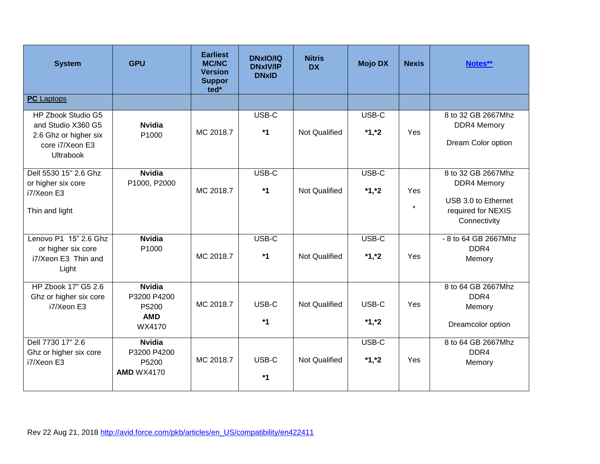| <b>System</b>                                                                                            | <b>GPU</b>                                                    | <b>Earliest</b><br><b>MC/NC</b><br><b>Version</b><br><b>Suppor</b><br>ted* | <b>DNxIO/IQ</b><br><b>DNxIV/IP</b><br><b>DNxID</b> | <b>Nitris</b><br><b>DX</b> | <b>Mojo DX</b>   | <b>Nexis</b>   | Notes**                                                                                               |
|----------------------------------------------------------------------------------------------------------|---------------------------------------------------------------|----------------------------------------------------------------------------|----------------------------------------------------|----------------------------|------------------|----------------|-------------------------------------------------------------------------------------------------------|
| <b>PC</b> Laptops                                                                                        |                                                               |                                                                            |                                                    |                            |                  |                |                                                                                                       |
| HP Zbook Studio G5<br>and Studio X360 G5<br>2.6 Ghz or higher six<br>core i7/Xeon E3<br><b>Ultrabook</b> | <b>Nvidia</b><br>P1000                                        | MC 2018.7                                                                  | USB-C<br>$*1$                                      | <b>Not Qualified</b>       | USB-C<br>$*1,*2$ | Yes            | 8 to 32 GB 2667Mhz<br><b>DDR4 Memory</b><br>Dream Color option                                        |
| Dell 5530 15" 2.6 Ghz<br>or higher six core<br>i7/Xeon E3<br>Thin and light                              | <b>Nvidia</b><br>P1000, P2000                                 | MC 2018.7                                                                  | USB-C<br>$*1$                                      | Not Qualified              | USB-C<br>$*1,*2$ | Yes<br>$\star$ | 8 to 32 GB 2667Mhz<br><b>DDR4 Memory</b><br>USB 3.0 to Ethernet<br>required for NEXIS<br>Connectivity |
| Lenovo P1 15" 2.6 Ghz<br>or higher six core<br>i7/Xeon E3 Thin and<br>Light                              | <b>Nvidia</b><br>P1000                                        | MC 2018.7                                                                  | USB-C<br>$*1$                                      | <b>Not Qualified</b>       | USB-C<br>$*1,*2$ | Yes            | - 8 to 64 GB 2667Mhz<br>DDR4<br>Memory                                                                |
| HP Zbook 17" G5 2.6<br>Ghz or higher six core<br>i7/Xeon E3                                              | <b>Nvidia</b><br>P3200 P4200<br>P5200<br><b>AMD</b><br>WX4170 | MC 2018.7                                                                  | USB-C<br>$*1$                                      | <b>Not Qualified</b>       | USB-C<br>$*1,*2$ | Yes            | 8 to 64 GB 2667Mhz<br>DDR <sub>4</sub><br>Memory<br>Dreamcolor option                                 |
| Dell 7730 17" 2.6<br>Ghz or higher six core<br>i7/Xeon E3                                                | <b>Nvidia</b><br>P3200 P4200<br>P5200<br><b>AMD WX4170</b>    | MC 2018.7                                                                  | USB-C<br>$*1$                                      | <b>Not Qualified</b>       | USB-C<br>$*1,*2$ | Yes            | 8 to 64 GB 2667Mhz<br>DDR <sub>4</sub><br>Memory                                                      |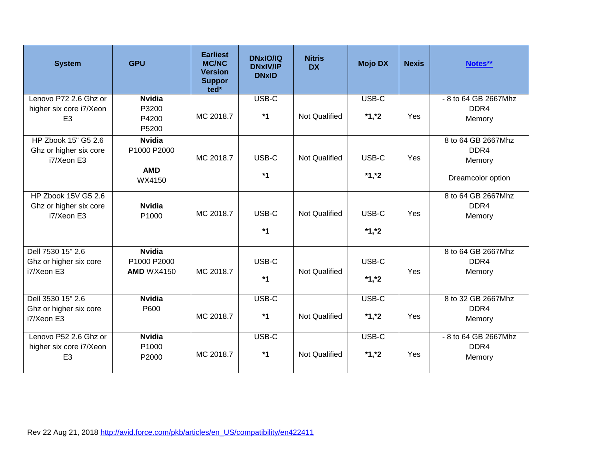| <b>System</b>                             | <b>GPU</b>        | <b>Earliest</b><br><b>MC/NC</b><br><b>Version</b><br><b>Suppor</b><br>ted* | <b>DNxIO/IQ</b><br><b>DNxIV/IP</b><br><b>DNxID</b> | <b>Nitris</b><br><b>DX</b> | <b>Mojo DX</b> | <b>Nexis</b> | Notes**                    |
|-------------------------------------------|-------------------|----------------------------------------------------------------------------|----------------------------------------------------|----------------------------|----------------|--------------|----------------------------|
| Lenovo P72 2.6 Ghz or                     | <b>Nvidia</b>     |                                                                            | USB-C                                              |                            | USB-C          |              | - 8 to 64 GB 2667Mhz       |
| higher six core i7/Xeon<br>E <sub>3</sub> | P3200<br>P4200    | MC 2018.7                                                                  | $*1$                                               | <b>Not Qualified</b>       | $*1,*2$        | Yes          | DDR <sub>4</sub><br>Memory |
|                                           | P5200             |                                                                            |                                                    |                            |                |              |                            |
| HP Zbook 15" G5 2.6                       | <b>Nvidia</b>     |                                                                            |                                                    |                            |                |              | 8 to 64 GB 2667Mhz         |
| Ghz or higher six core<br>i7/Xeon E3      | P1000 P2000       | MC 2018.7                                                                  | USB-C                                              | <b>Not Qualified</b>       | USB-C          | Yes          | DDR4<br>Memory             |
|                                           | <b>AMD</b>        |                                                                            |                                                    |                            |                |              |                            |
|                                           | WX4150            |                                                                            | $*1$                                               |                            | $*1,*2$        |              | Dreamcolor option          |
| HP Zbook 15V G5 2.6                       |                   |                                                                            |                                                    |                            |                |              | 8 to 64 GB 2667Mhz         |
| Ghz or higher six core                    | <b>Nvidia</b>     | MC 2018.7                                                                  | USB-C                                              | <b>Not Qualified</b>       | USB-C          | Yes          | DDR4                       |
| i7/Xeon E3                                | P1000             |                                                                            |                                                    |                            |                |              | Memory                     |
|                                           |                   |                                                                            | $*1$                                               |                            | $*1,*2$        |              |                            |
| Dell 7530 15" 2.6                         | <b>Nvidia</b>     |                                                                            |                                                    |                            |                |              | 8 to 64 GB 2667Mhz         |
| Ghz or higher six core                    | P1000 P2000       |                                                                            | USB-C                                              | <b>Not Qualified</b>       | USB-C          |              | DDR4                       |
| i7/Xeon E3                                | <b>AMD WX4150</b> | MC 2018.7                                                                  | $*1$                                               |                            | $*1,*2$        | Yes          | Memory                     |
| Dell 3530 15" 2.6                         | <b>Nvidia</b>     |                                                                            | USB-C                                              |                            | USB-C          |              | 8 to 32 GB 2667Mhz         |
| Ghz or higher six core                    | P600              |                                                                            | $*1$                                               |                            |                |              | DDR4                       |
| i7/Xeon E3                                |                   | MC 2018.7                                                                  |                                                    | <b>Not Qualified</b>       | $*1,*2$        | Yes          | Memory                     |
| Lenovo P52 2.6 Ghz or                     | <b>Nvidia</b>     |                                                                            | USB-C                                              |                            | USB-C          |              | - 8 to 64 GB 2667Mhz       |
| higher six core i7/Xeon                   | P1000             | MC 2018.7                                                                  | $*1$                                               | <b>Not Qualified</b>       | $*1,*2$        | Yes          | DDR4                       |
| E <sub>3</sub>                            | P2000             |                                                                            |                                                    |                            |                |              | Memory                     |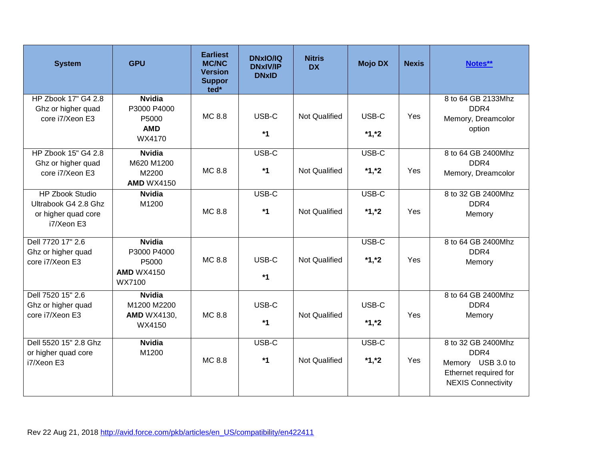| <b>System</b>                                                                       | <b>GPU</b>                                                           | <b>Earliest</b><br><b>MC/NC</b><br><b>Version</b><br><b>Suppor</b><br>ted* | <b>DNxIO/IQ</b><br><b>DNxIV/IP</b><br><b>DNxID</b> | <b>Nitris</b><br><b>DX</b> | <b>Mojo DX</b>   | <b>Nexis</b> | Notes**                                                                                               |
|-------------------------------------------------------------------------------------|----------------------------------------------------------------------|----------------------------------------------------------------------------|----------------------------------------------------|----------------------------|------------------|--------------|-------------------------------------------------------------------------------------------------------|
| HP Zbook 17" G4 2.8<br>Ghz or higher quad<br>core i7/Xeon E3                        | <b>Nvidia</b><br>P3000 P4000<br>P5000<br><b>AMD</b><br>WX4170        | MC 8.8                                                                     | USB-C<br>$*1$                                      | <b>Not Qualified</b>       | USB-C<br>$*1,*2$ | Yes          | 8 to 64 GB 2133Mhz<br>DDR4<br>Memory, Dreamcolor<br>option                                            |
| HP Zbook 15" G4 2.8<br>Ghz or higher quad<br>core i7/Xeon E3                        | <b>Nvidia</b><br>M620 M1200<br>M2200<br><b>AMD WX4150</b>            | MC 8.8                                                                     | USB-C<br>$*1$                                      | <b>Not Qualified</b>       | USB-C<br>$*1,*2$ | Yes          | 8 to 64 GB 2400Mhz<br>DDR4<br>Memory, Dreamcolor                                                      |
| <b>HP Zbook Studio</b><br>Ultrabook G4 2.8 Ghz<br>or higher quad core<br>i7/Xeon E3 | <b>Nvidia</b><br>M1200                                               | MC 8.8                                                                     | USB-C<br>$*1$                                      | <b>Not Qualified</b>       | USB-C<br>$*1,*2$ | Yes          | 8 to 32 GB 2400Mhz<br>DDR4<br>Memory                                                                  |
| Dell 7720 17" 2.6<br>Ghz or higher quad<br>core i7/Xeon E3                          | <b>Nvidia</b><br>P3000 P4000<br>P5000<br><b>AMD WX4150</b><br>WX7100 | MC 8.8                                                                     | USB-C<br>$*1$                                      | <b>Not Qualified</b>       | USB-C<br>$*1,*2$ | Yes          | 8 to 64 GB 2400Mhz<br>DDR4<br>Memory                                                                  |
| Dell 7520 15" 2.6<br>Ghz or higher quad<br>core i7/Xeon E3                          | <b>Nvidia</b><br>M1200 M2200<br><b>AMD WX4130,</b><br>WX4150         | MC 8.8                                                                     | USB-C<br>$*1$                                      | <b>Not Qualified</b>       | USB-C<br>$*1,*2$ | Yes          | 8 to 64 GB 2400Mhz<br>DDR <sub>4</sub><br>Memory                                                      |
| Dell 5520 15" 2.8 Ghz<br>or higher quad core<br>i7/Xeon E3                          | <b>Nvidia</b><br>M1200                                               | MC 8.8                                                                     | USB-C<br>$*1$                                      | <b>Not Qualified</b>       | USB-C<br>$*1,*2$ | Yes          | 8 to 32 GB 2400Mhz<br>DDR4<br>Memory USB 3.0 to<br>Ethernet required for<br><b>NEXIS Connectivity</b> |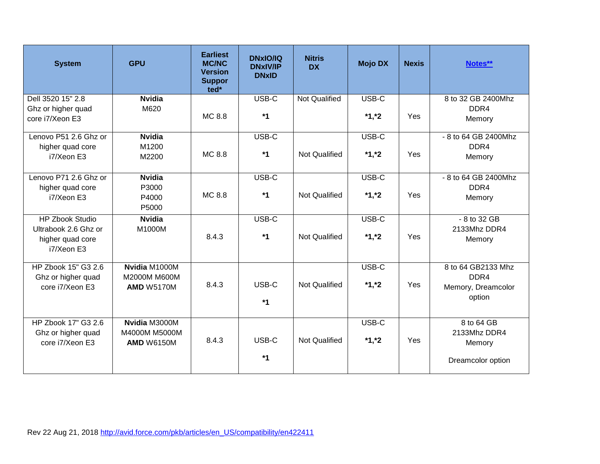| <b>System</b>          | <b>GPU</b>        | <b>Earliest</b><br><b>MC/NC</b><br><b>Version</b><br><b>Suppor</b><br>ted* | <b>DNxIO/IQ</b><br><b>DNxIV/IP</b><br><b>DNxID</b> | <b>Nitris</b><br><b>DX</b> | <b>Mojo DX</b> | <b>Nexis</b> | Notes**              |
|------------------------|-------------------|----------------------------------------------------------------------------|----------------------------------------------------|----------------------------|----------------|--------------|----------------------|
| Dell 3520 15" 2.8      | <b>Nvidia</b>     |                                                                            | USB-C                                              | <b>Not Qualified</b>       | USB-C          |              | 8 to 32 GB 2400Mhz   |
| Ghz or higher quad     | M620              |                                                                            |                                                    |                            |                |              | DDR4                 |
| core i7/Xeon E3        |                   | MC 8.8                                                                     | $*1$                                               |                            | $*1,*2$        | Yes          | Memory               |
| Lenovo P51 2.6 Ghz or  | <b>Nvidia</b>     |                                                                            | USB-C                                              |                            | USB-C          |              | - 8 to 64 GB 2400Mhz |
| higher quad core       | M1200             |                                                                            |                                                    |                            |                |              | DDR <sub>4</sub>     |
| i7/Xeon E3             | M2200             | MC 8.8                                                                     | $*1$                                               | <b>Not Qualified</b>       | $*1,*2$        | Yes          | Memory               |
| Lenovo P71 2.6 Ghz or  | <b>Nvidia</b>     |                                                                            | USB-C                                              |                            | USB-C          |              | - 8 to 64 GB 2400Mhz |
| higher quad core       | P3000             |                                                                            |                                                    |                            |                |              | DDR <sub>4</sub>     |
| i7/Xeon E3             | P4000             | MC 8.8                                                                     | $*1$                                               | <b>Not Qualified</b>       | $*1,*2$        | Yes          | Memory               |
|                        | P5000             |                                                                            |                                                    |                            |                |              |                      |
| <b>HP Zbook Studio</b> | <b>Nvidia</b>     |                                                                            | USB-C                                              |                            | USB-C          |              | - 8 to 32 GB         |
| Ultrabook 2.6 Ghz or   | M1000M            |                                                                            |                                                    |                            |                |              | 2133Mhz DDR4         |
| higher quad core       |                   | 8.4.3                                                                      | $*1$                                               | <b>Not Qualified</b>       | $*1,*2$        | Yes          | Memory               |
| i7/Xeon E3             |                   |                                                                            |                                                    |                            |                |              |                      |
| HP Zbook 15" G3 2.6    | Nvidia M1000M     |                                                                            |                                                    |                            | USB-C          |              | 8 to 64 GB2133 Mhz   |
| Ghz or higher quad     | M2000M M600M      |                                                                            |                                                    |                            |                |              | DDR4                 |
| core i7/Xeon E3        | <b>AMD W5170M</b> | 8.4.3                                                                      | USB-C                                              | <b>Not Qualified</b>       | $*1,*2$        | Yes          | Memory, Dreamcolor   |
|                        |                   |                                                                            | $*1$                                               |                            |                |              | option               |
|                        |                   |                                                                            |                                                    |                            |                |              |                      |
| HP Zbook 17" G3 2.6    | Nvidia M3000M     |                                                                            |                                                    |                            | USB-C          |              | 8 to 64 GB           |
| Ghz or higher quad     | M4000M M5000M     |                                                                            |                                                    |                            |                |              | 2133Mhz DDR4         |
| core i7/Xeon E3        | <b>AMD W6150M</b> | 8.4.3                                                                      | USB-C                                              | <b>Not Qualified</b>       | $*1,*2$        | Yes          | Memory               |
|                        |                   |                                                                            | $*1$                                               |                            |                |              | Dreamcolor option    |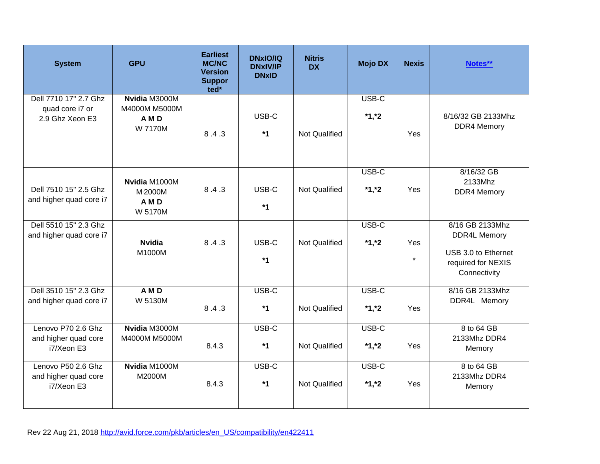| <b>System</b>                                               | <b>GPU</b>                                               | <b>Earliest</b><br><b>MC/NC</b><br><b>Version</b><br><b>Suppor</b><br>ted* | <b>DNxIO/IQ</b><br><b>DNxIV/IP</b><br><b>DNxID</b> | <b>Nitris</b><br><b>DX</b> | <b>Mojo DX</b>   | <b>Nexis</b>   | Notes**                                                                                             |
|-------------------------------------------------------------|----------------------------------------------------------|----------------------------------------------------------------------------|----------------------------------------------------|----------------------------|------------------|----------------|-----------------------------------------------------------------------------------------------------|
| Dell 7710 17" 2.7 Ghz<br>quad core i7 or<br>2.9 Ghz Xeon E3 | Nvidia M3000M<br>M4000M M5000M<br>A M D<br>W 7170M       | 8.4.3                                                                      | USB-C<br>$*1$                                      | <b>Not Qualified</b>       | USB-C<br>$*1,*2$ | Yes            | 8/16/32 GB 2133Mhz<br><b>DDR4 Memory</b>                                                            |
| Dell 7510 15" 2.5 Ghz<br>and higher quad core i7            | Nvidia M1000M<br>M <sub>2000</sub> M<br>A M D<br>W 5170M | 8.4.3                                                                      | USB-C<br>$*1$                                      | Not Qualified              | USB-C<br>$*1,*2$ | Yes            | 8/16/32 GB<br>2133Mhz<br><b>DDR4 Memory</b>                                                         |
| Dell 5510 15" 2.3 Ghz<br>and higher quad core i7            | <b>Nvidia</b><br>M1000M                                  | 8.4.3                                                                      | USB-C<br>$*1$                                      | <b>Not Qualified</b>       | USB-C<br>$*1,*2$ | Yes<br>$\star$ | 8/16 GB 2133Mhz<br><b>DDR4L Memory</b><br>USB 3.0 to Ethernet<br>required for NEXIS<br>Connectivity |
| Dell 3510 15" 2.3 Ghz<br>and higher quad core i7            | A M D<br>W 5130M                                         | 8.4.3                                                                      | USB-C<br>$*1$                                      | <b>Not Qualified</b>       | USB-C<br>$*1,*2$ | Yes            | 8/16 GB 2133Mhz<br>DDR4L Memory                                                                     |
| Lenovo P70 2.6 Ghz<br>and higher quad core<br>i7/Xeon E3    | Nvidia M3000M<br>M4000M M5000M                           | 8.4.3                                                                      | USB-C<br>$*1$                                      | Not Qualified              | USB-C<br>$*1,*2$ | Yes            | 8 to 64 GB<br>2133Mhz DDR4<br>Memory                                                                |
| Lenovo P50 2.6 Ghz<br>and higher quad core<br>i7/Xeon E3    | Nvidia M1000M<br>M2000M                                  | 8.4.3                                                                      | USB-C<br>$*1$                                      | Not Qualified              | USB-C<br>$*1,*2$ | Yes            | 8 to 64 GB<br>2133Mhz DDR4<br>Memory                                                                |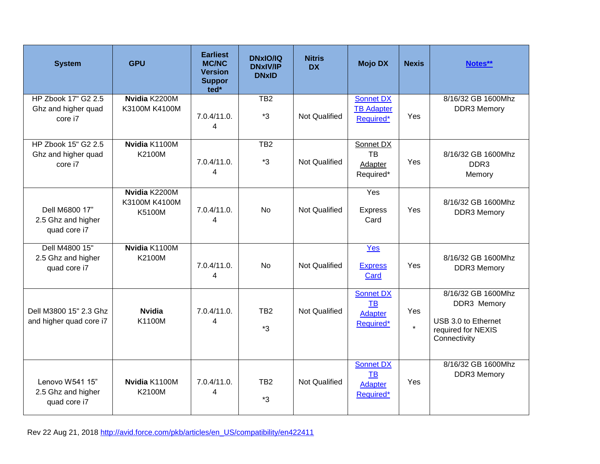| <b>System</b>                                         | <b>GPU</b>                               | <b>Earliest</b><br><b>MC/NC</b><br><b>Version</b><br><b>Suppor</b><br>ted* | <b>DNxIO/IQ</b><br><b>DNxIV/IP</b><br><b>DNxID</b> | <b>Nitris</b><br><b>DX</b> | <b>Mojo DX</b>                                        | <b>Nexis</b>   | Notes**                                                                                        |
|-------------------------------------------------------|------------------------------------------|----------------------------------------------------------------------------|----------------------------------------------------|----------------------------|-------------------------------------------------------|----------------|------------------------------------------------------------------------------------------------|
| HP Zbook 17" G2 2.5<br>Ghz and higher quad<br>core i7 | Nvidia K2200M<br>K3100M K4100M           | 7.0.4/11.0.<br>$\overline{4}$                                              | $\overline{TB2}$<br>$*3$                           | <b>Not Qualified</b>       | <b>Sonnet DX</b><br><b>TB Adapter</b><br>Required*    | Yes            | 8/16/32 GB 1600Mhz<br><b>DDR3 Memory</b>                                                       |
| HP Zbook 15" G2 2.5<br>Ghz and higher quad<br>core i7 | Nvidia K1100M<br>K2100M                  | 7.0.4/11.0.<br>$\overline{\mathbf{4}}$                                     | $\overline{TB2}$<br>$*3$                           | <b>Not Qualified</b>       | Sonnet DX<br><b>TB</b><br>Adapter<br>Required*        | Yes            | 8/16/32 GB 1600Mhz<br>DDR <sub>3</sub><br>Memory                                               |
| Dell M6800 17"<br>2.5 Ghz and higher<br>quad core i7  | Nvidia K2200M<br>K3100M K4100M<br>K5100M | 7.0.4/11.0.<br>4                                                           | <b>No</b>                                          | <b>Not Qualified</b>       | Yes<br><b>Express</b><br>Card                         | Yes            | 8/16/32 GB 1600Mhz<br><b>DDR3 Memory</b>                                                       |
| Dell M4800 15"<br>2.5 Ghz and higher<br>quad core i7  | Nvidia K1100M<br>K2100M                  | 7.0.4/11.0.<br>$\overline{\mathbf{4}}$                                     | <b>No</b>                                          | <b>Not Qualified</b>       | Yes<br><b>Express</b><br>Card                         | Yes            | 8/16/32 GB 1600Mhz<br><b>DDR3 Memory</b>                                                       |
| Dell M3800 15" 2.3 Ghz<br>and higher quad core i7     | <b>Nvidia</b><br>K1100M                  | 7.0.4/11.0.<br>4                                                           | TB <sub>2</sub><br>$*3$                            | <b>Not Qualified</b>       | <b>Sonnet DX</b><br><b>TB</b><br>Adapter<br>Required* | Yes<br>$\star$ | 8/16/32 GB 1600Mhz<br>DDR3 Memory<br>USB 3.0 to Ethernet<br>required for NEXIS<br>Connectivity |
| Lenovo W541 15"<br>2.5 Ghz and higher<br>quad core i7 | Nvidia K1100M<br>K2100M                  | 7.0.4/11.0.<br>4                                                           | TB <sub>2</sub><br>*3                              | Not Qualified              | Sonnet DX<br>TB<br>Adapter<br>Required*               | Yes            | 8/16/32 GB 1600Mhz<br><b>DDR3 Memory</b>                                                       |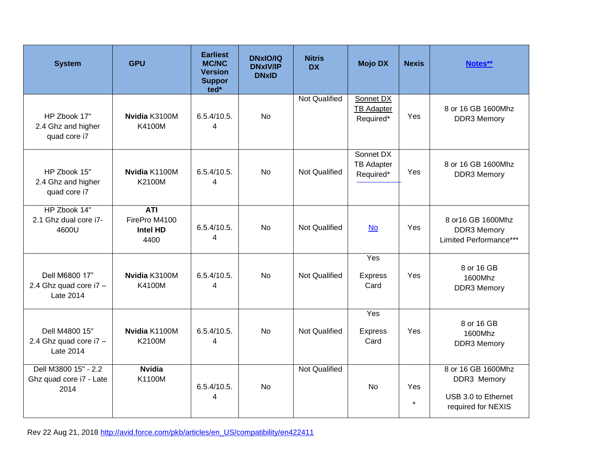| <b>System</b>                                           | <b>GPU</b>                                             | <b>Earliest</b><br><b>MC/NC</b><br><b>Version</b><br><b>Suppor</b><br>ted* | <b>DNxIO/IQ</b><br><b>DNxIV/IP</b><br><b>DNxID</b> | <b>Nitris</b><br><b>DX</b> | <b>Mojo DX</b>                              | <b>Nexis</b>   | Notes**                                                                        |
|---------------------------------------------------------|--------------------------------------------------------|----------------------------------------------------------------------------|----------------------------------------------------|----------------------------|---------------------------------------------|----------------|--------------------------------------------------------------------------------|
| HP Zbook 17"<br>2.4 Ghz and higher<br>quad core i7      | Nvidia K3100M<br>K4100M                                | 6.5.4/10.5.<br>4                                                           | <b>No</b>                                          | <b>Not Qualified</b>       | Sonnet DX<br><b>TB Adapter</b><br>Required* | Yes            | 8 or 16 GB 1600Mhz<br><b>DDR3 Memory</b>                                       |
| HP Zbook 15"<br>2.4 Ghz and higher<br>quad core i7      | Nvidia K1100M<br>K2100M                                | 6.5.4/10.5.<br>4                                                           | <b>No</b>                                          | <b>Not Qualified</b>       | Sonnet DX<br><b>TB Adapter</b><br>Required* | Yes            | 8 or 16 GB 1600Mhz<br><b>DDR3 Memory</b>                                       |
| HP Zbook 14"<br>2.1 Ghz dual core i7-<br>4600U          | <b>ATI</b><br>FirePro M4100<br><b>Intel HD</b><br>4400 | 6.5.4/10.5.<br>4                                                           | <b>No</b>                                          | <b>Not Qualified</b>       | <b>No</b>                                   | Yes            | 8 or 16 GB 1600Mhz<br><b>DDR3 Memory</b><br>Limited Performance***             |
| Dell M6800 17"<br>2.4 Ghz quad core i7 -<br>Late 2014   | Nvidia K3100M<br>K4100M                                | 6.5.4/10.5.<br>4                                                           | <b>No</b>                                          | Not Qualified              | Yes<br><b>Express</b><br>Card               | Yes            | 8 or 16 GB<br>1600Mhz<br><b>DDR3 Memory</b>                                    |
| Dell M4800 15"<br>2.4 Ghz quad core i7 -<br>Late 2014   | Nvidia K1100M<br>K2100M                                | 6.5.4/10.5.<br>4                                                           | <b>No</b>                                          | <b>Not Qualified</b>       | Yes<br><b>Express</b><br>Card               | Yes            | 8 or 16 GB<br>1600Mhz<br><b>DDR3 Memory</b>                                    |
| Dell M3800 15" - 2.2<br>Ghz quad core i7 - Late<br>2014 | <b>Nvidia</b><br>K1100M                                | 6.5.4/10.5.<br>4                                                           | No                                                 | <b>Not Qualified</b>       | No                                          | Yes<br>$\star$ | 8 or 16 GB 1600Mhz<br>DDR3 Memory<br>USB 3.0 to Ethernet<br>required for NEXIS |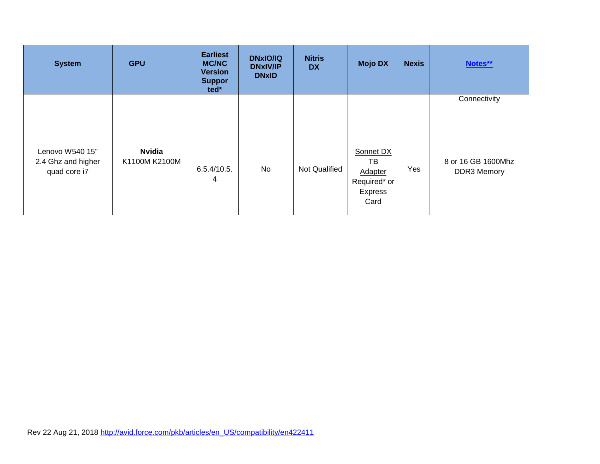| <b>System</b>                                         | <b>GPU</b>                     | <b>Earliest</b><br><b>MC/NC</b><br><b>Version</b><br><b>Suppor</b><br>ted* | <b>DNxIO/IQ</b><br><b>DNxIV/IP</b><br><b>DNxID</b> | <b>Nitris</b><br><b>DX</b> | <b>Mojo DX</b>                                                              | <b>Nexis</b> | Notes**                           |
|-------------------------------------------------------|--------------------------------|----------------------------------------------------------------------------|----------------------------------------------------|----------------------------|-----------------------------------------------------------------------------|--------------|-----------------------------------|
|                                                       |                                |                                                                            |                                                    |                            |                                                                             |              | Connectivity                      |
| Lenovo W540 15"<br>2.4 Ghz and higher<br>quad core i7 | <b>Nvidia</b><br>K1100M K2100M | 6.5.4/10.5.<br>4                                                           | No                                                 | <b>Not Qualified</b>       | Sonnet DX<br>TВ<br><b>Adapter</b><br>Required* or<br><b>Express</b><br>Card | Yes          | 8 or 16 GB 1600Mhz<br>DDR3 Memory |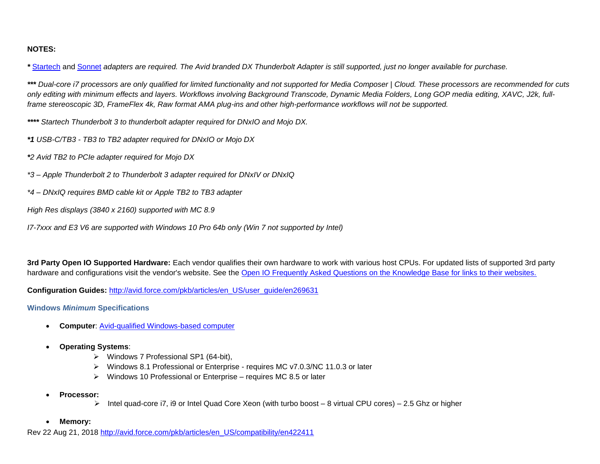## **NOTES:**

<span id="page-19-0"></span>*\** [Startech](https://www.startech.com/Cables/thunderbolt-3-cables/thunderbolt-3-usb-c-thunderbolt-adapter~TBT3TBTADAP) and [Sonnet](http://www.sonnettech.com/product/dxthunderboltadapter.html) *adapters are required. The Avid branded DX Thunderbolt Adapter is still supported, just no longer available for purchase.* 

*\*\*\* Dual-core i7 processors are only qualified for limited functionality and not supported for Media Composer | Cloud. These processors are recommended for cuts only editing with minimum effects and layers. Workflows involving Background Transcode, Dynamic Media Folders, Long GOP media editing, XAVC, J2k, fullframe stereoscopic 3D, FrameFlex 4k, Raw format AMA plug-ins and other high-performance workflows will not be supported.* 

*\*\*\*\* Startech Thunderbolt 3 to thunderbolt adapter required for DNxIO and Mojo DX.* 

*\*1 USB-C/TB3 - TB3 to TB2 adapter required for DNxIO or Mojo DX* 

- *\*2 Avid TB2 to PCIe adapter required for Mojo DX*
- *\*3 – Apple Thunderbolt 2 to Thunderbolt 3 adapter required for DNxIV or DNxIQ*
- *\*4 – DNxIQ requires BMD cable kit or Apple TB2 to TB3 adapter*
- *High Res displays (3840 x 2160) supported with MC 8.9*

*I7-7xxx and E3 V6 are supported with Windows 10 Pro 64b only (Win 7 not supported by Intel)*

**3rd Party Open IO Supported Hardware:** Each vendor qualifies their own hardware to work with various host CPUs. For updated lists of supported 3rd party hardware and configurations visit the vendor's website. See the [Open IO Frequently Asked Questions on the Knowledge Base for links to their websites.](http://avid.force.com/pkb/articles/en_US/FAQ/en422991)

**Configuration Guides:** [http://avid.force.com/pkb/articles/en\\_US/user\\_guide/en269631](http://avid.force.com/pkb/articles/en_US/user_guide/en269631)

**Windows** *Minimum* **Specifications**

- **Computer**: [Avid-qualified Windows-based computer](http://avid.force.com/pkb/articles/en_US/Compatibility/en422411)
- **Operating Systems**:
	- ➢ Windows 7 Professional SP1 (64-bit),
	- ➢ Windows 8.1 Professional or Enterprise requires MC v7.0.3/NC 11.0.3 or later
	- ➢ Windows 10 Professional or Enterprise requires MC 8.5 or later
- **Processor:** 
	- ➢ Intel quad-core i7, i9 or Intel Quad Core Xeon (with turbo boost 8 virtual CPU cores) 2.5 Ghz or higher
- **Memory:**